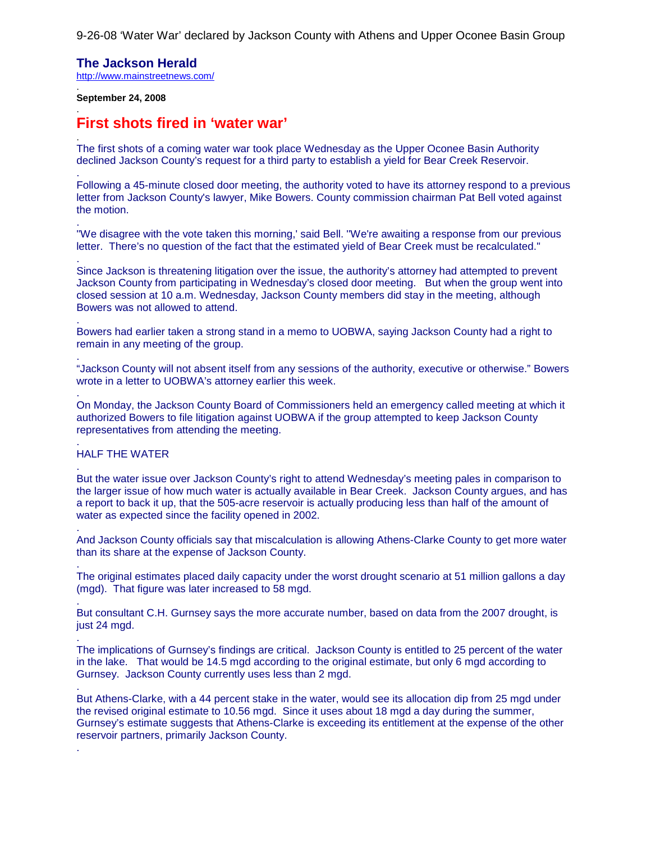9-26-08 'Water War' declared by Jackson County with Athens and Upper Oconee Basin Group

## **The Jackson Herald**

<http://www.mainstreetnews.com/> .

#### **September 24, 2008**

.

.

.

.

.

.

.

.

.

.

.

.

.

.

.

# **First shots fired in 'water war'**

The first shots of a coming water war took place Wednesday as the Upper Oconee Basin Authority declined Jackson County's request for a third party to establish a yield for Bear Creek Reservoir.

Following a 45-minute closed door meeting, the authority voted to have its attorney respond to a previous letter from Jackson County's lawyer, Mike Bowers. County commission chairman Pat Bell voted against the motion.

''We disagree with the vote taken this morning,' said Bell. ''We're awaiting a response from our previous letter. There's no question of the fact that the estimated yield of Bear Creek must be recalculated."

Since Jackson is threatening litigation over the issue, the authority's attorney had attempted to prevent Jackson County from participating in Wednesday's closed door meeting. But when the group went into closed session at 10 a.m. Wednesday, Jackson County members did stay in the meeting, although Bowers was not allowed to attend.

Bowers had earlier taken a strong stand in a memo to UOBWA, saying Jackson County had a right to remain in any meeting of the group.

"Jackson County will not absent itself from any sessions of the authority, executive or otherwise." Bowers wrote in a letter to UOBWA's attorney earlier this week.

On Monday, the Jackson County Board of Commissioners held an emergency called meeting at which it authorized Bowers to file litigation against UOBWA if the group attempted to keep Jackson County representatives from attending the meeting.

#### . HALF THE WATER

But the water issue over Jackson County's right to attend Wednesday's meeting pales in comparison to the larger issue of how much water is actually available in Bear Creek. Jackson County argues, and has a report to back it up, that the 505-acre reservoir is actually producing less than half of the amount of water as expected since the facility opened in 2002.

And Jackson County officials say that miscalculation is allowing Athens-Clarke County to get more water than its share at the expense of Jackson County.

The original estimates placed daily capacity under the worst drought scenario at 51 million gallons a day (mgd). That figure was later increased to 58 mgd.

But consultant C.H. Gurnsey says the more accurate number, based on data from the 2007 drought, is just 24 mgd.

The implications of Gurnsey's findings are critical. Jackson County is entitled to 25 percent of the water in the lake. That would be 14.5 mgd according to the original estimate, but only 6 mgd according to Gurnsey. Jackson County currently uses less than 2 mgd.

But Athens-Clarke, with a 44 percent stake in the water, would see its allocation dip from 25 mgd under the revised original estimate to 10.56 mgd. Since it uses about 18 mgd a day during the summer, Gurnsey's estimate suggests that Athens-Clarke is exceeding its entitlement at the expense of the other reservoir partners, primarily Jackson County.